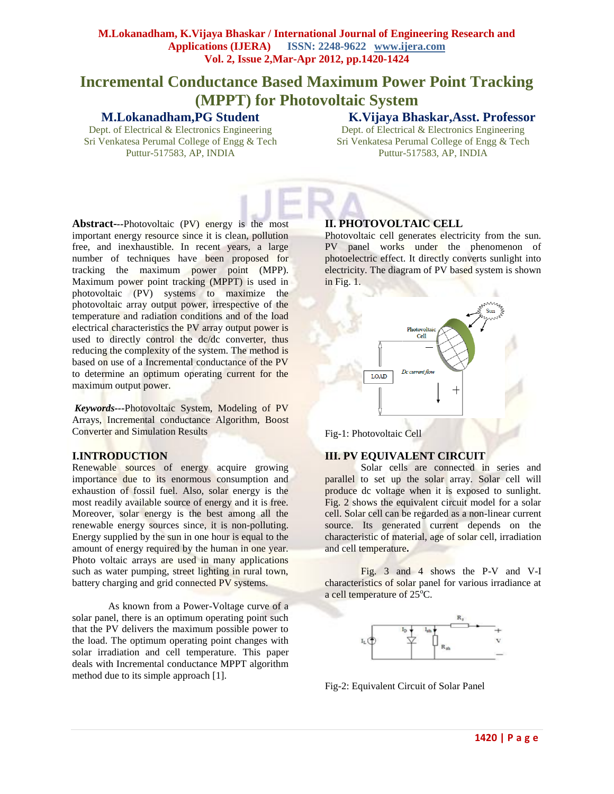# **Incremental Conductance Based Maximum Power Point Tracking (MPPT) for Photovoltaic System**

# **M.Lokanadham,PG Student**

Dept. of Electrical & Electronics Engineering Sri Venkatesa Perumal College of Engg & Tech Puttur-517583, AP, INDIA

**K.Vijaya Bhaskar,Asst. Professor** Dept. of Electrical & Electronics Engineering

Sri Venkatesa Perumal College of Engg & Tech Puttur-517583, AP, INDIA

**Abstract-***--*Photovoltaic (PV) energy is the most important energy resource since it is clean, pollution free, and inexhaustible. In recent years, a large number of techniques have been proposed for tracking the maximum power point (MPP). Maximum power point tracking (MPPT) is used in photovoltaic (PV) systems to maximize the photovoltaic array output power, irrespective of the temperature and radiation conditions and of the load electrical characteristics the PV array output power is used to directly control the dc/dc converter, thus reducing the complexity of the system. The method is based on use of a Incremental conductance of the PV to determine an optimum operating current for the maximum output power.

*Keywords---*Photovoltaic System, Modeling of PV Arrays, Incremental conductance Algorithm, Boost Converter and Simulation Results

## **I.INTRODUCTION**

Renewable sources of energy acquire growing importance due to its enormous consumption and exhaustion of fossil fuel. Also, solar energy is the most readily available source of energy and it is free. Moreover, solar energy is the best among all the renewable energy sources since, it is non-polluting. Energy supplied by the sun in one hour is equal to the amount of energy required by the human in one year. Photo voltaic arrays are used in many applications such as water pumping, street lighting in rural town, battery charging and grid connected PV systems.

 As known from a Power-Voltage curve of a solar panel, there is an optimum operating point such that the PV delivers the maximum possible power to the load. The optimum operating point changes with solar irradiation and cell temperature. This paper deals with Incremental conductance MPPT algorithm method due to its simple approach [1].

# **II. PHOTOVOLTAIC CELL**

Photovoltaic cell generates electricity from the sun. PV panel works under the phenomenon of photoelectric effect. It directly converts sunlight into electricity. The diagram of PV based system is shown in Fig. 1.



Fig-1: Photovoltaic Cell

## **III. PV EQUIVALENT CIRCUIT**

Solar cells are connected in series and parallel to set up the solar array. Solar cell will produce dc voltage when it is exposed to sunlight. Fig. 2 shows the equivalent circuit model for a solar cell. Solar cell can be regarded as a non-linear current source. Its generated current depends on the characteristic of material, age of solar cell, irradiation and cell temperature**.** 

Fig. 3 and 4 shows the P-V and V-I characteristics of solar panel for various irradiance at a cell temperature of  $25^{\circ}$ C.



Fig-2: Equivalent Circuit of Solar Panel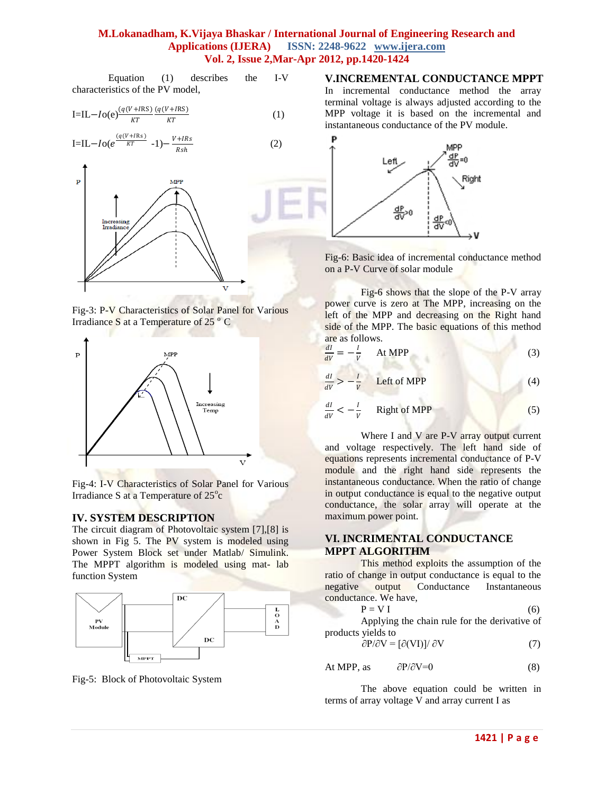Equation (1) describes the I-V characteristics of the PV model,

$$
I=IL-Io(e)\frac{(q(V+IRS)}{KT}\frac{(q(V+IRS)}{KT})
$$
\n(1)

$$
I=IL-Io(e^{\frac{(q(V+IRs)}{KT}}-1)-\frac{V+IRs}{Rsh}
$$
 (2)







Fig-4: I-V Characteristics of Solar Panel for Various Irradiance S at a Temperature of 25°c

#### **IV. SYSTEM DESCRIPTION**

The circuit diagram of Photovoltaic system [7],[8] is shown in Fig 5. The PV system is modeled using Power System Block set under Matlab/ Simulink. The MPPT algorithm is modeled using mat- lab function System



Fig-5: Block of Photovoltaic System

## **V.INCREMENTAL CONDUCTANCE MPPT**

In incremental conductance method the array terminal voltage is always adjusted according to the MPP voltage it is based on the incremental and instantaneous conductance of the PV module.



Fig-6: Basic idea of incremental conductance method on a P-V Curve of solar module

Fig-6 shows that the slope of the P-V array power curve is zero at The MPP, increasing on the left of the MPP and decreasing on the Right hand side of the MPP. The basic equations of this method are as follows. ÷

$$
\frac{dl}{dV} = -\frac{l}{V} \quad \text{At MPP} \tag{3}
$$

$$
\frac{dI}{dV} > -\frac{I}{V} \qquad \text{Left of MPP} \tag{4}
$$

$$
\frac{dl}{dV} < -\frac{l}{V} \qquad \text{Right of MPP} \tag{5}
$$

Where I and V are P-V array output current and voltage respectively. The left hand side of equations represents incremental conductance of P-V module and the right hand side represents the instantaneous conductance. When the ratio of change in output conductance is equal to the negative output conductance, the solar array will operate at the maximum power point.

## **VI. INCRIMENTAL CONDUCTANCE MPPT ALGORITHM**

This method exploits the assumption of the ratio of change in output conductance is equal to the negative output Conductance Instantaneous conductance. We have,

$$
P = V I \tag{6}
$$

Applying the chain rule for the derivative of products yields to

$$
\partial P/\partial V = [\partial(VI)]/\partial V \tag{7}
$$

At MPP, as 
$$
\partial P/\partial V=0
$$
 (8)

The above equation could be written in terms of array voltage V and array current I as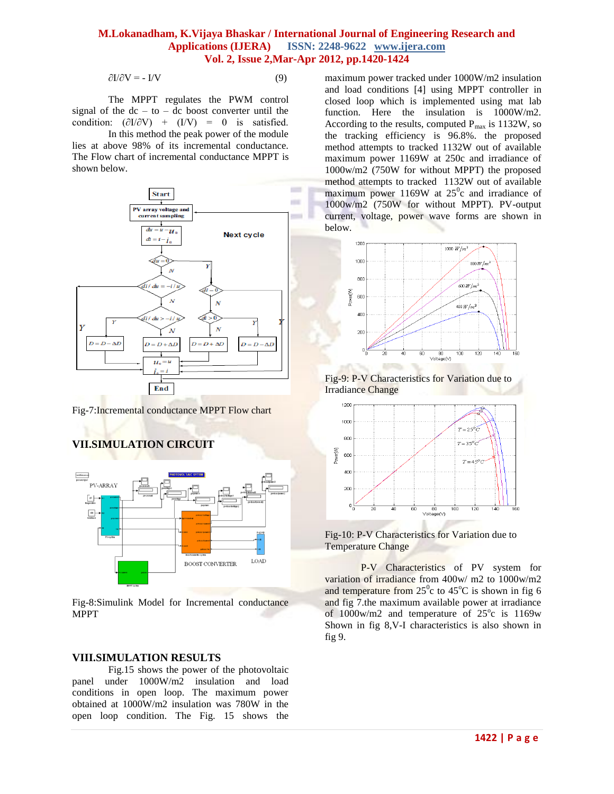$\partial I/\partial V = -I/V$  (9)

The MPPT regulates the PWM control signal of the  $dc - to - dc$  boost converter until the condition:  $(\partial I/\partial V)$  +  $(I/V)$  = 0 is satisfied.

In this method the peak power of the module lies at above 98% of its incremental conductance. The Flow chart of incremental conductance MPPT is shown below.



Fig-7:Incremental conductance MPPT Flow chart

# **VII.SIMULATION CIRCUIT**



Fig-8:Simulink Model for Incremental conductance MPPT

#### **VIII.SIMULATION RESULTS**

Fig.15 shows the power of the photovoltaic panel under 1000W/m2 insulation and load conditions in open loop. The maximum power obtained at 1000W/m2 insulation was 780W in the open loop condition. The Fig. 15 shows the maximum power tracked under 1000W/m2 insulation and load conditions [4] using MPPT controller in closed loop which is implemented using mat lab function. Here the insulation is 1000W/m2. According to the results, computed  $P_{max}$  is 1132W, so the tracking efficiency is 96.8%. the proposed method attempts to tracked 1132W out of available maximum power 1169W at 250c and irradiance of 1000w/m2 (750W for without MPPT) the proposed method attempts to tracked 1132W out of available maximum power 1169W at  $25^\circ$ c and irradiance of 1000w/m2 (750W for without MPPT). PV-output current, voltage, power wave forms are shown in below.



Fig-9: P-V Characteristics for Variation due to Irradiance Change





P-V Characteristics of PV system for variation of irradiance from 400w/ m2 to 1000w/m2 and temperature from  $25^\circ c$  to  $45^\circ c$  is shown in fig 6 and fig 7.the maximum available power at irradiance of  $1000$ w/m2 and temperature of  $25^{\circ}$ c is  $1169$ w Shown in fig 8,V-I characteristics is also shown in fig 9.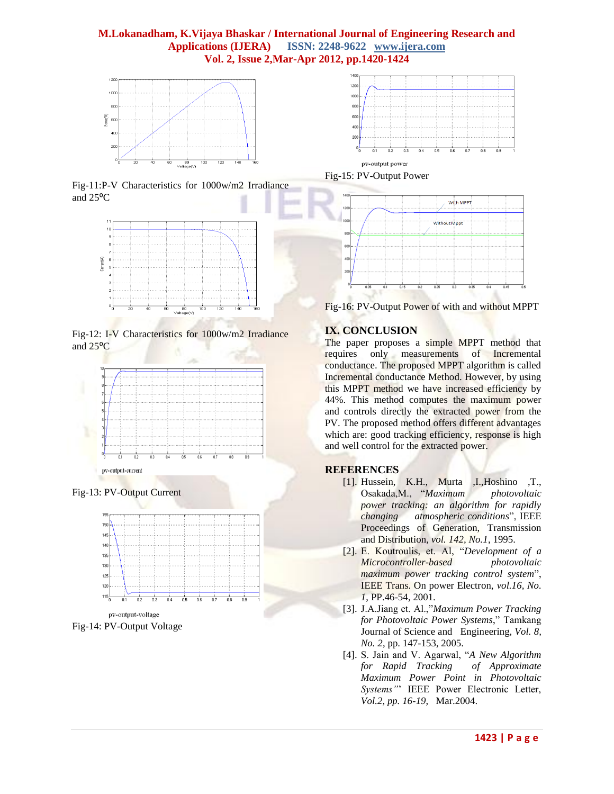





Fig-12: I-V Characteristics for 1000w/m2 Irradiance and 25<sup>o</sup>C



Fig-13: PV-Output Current



pv-output-voltage Fig-14: PV-Output Voltage



Fig-15: PV-Output Power



Fig-16: PV-Output Power of with and without MPPT

# **IX. CONCLUSION**

The paper proposes a simple MPPT method that requires only measurements of Incremental conductance. The proposed MPPT algorithm is called Incremental conductance Method. However, by using this MPPT method we have increased efficiency by 44%. This method computes the maximum power and controls directly the extracted power from the PV. The proposed method offers different advantages which are: good tracking efficiency, response is high and well control for the extracted power.

## **REFERENCES**

- [1]. Hussein, K.H., Murta ,I.,Hoshino ,T., Osakada,M., "*Maximum photovoltaic power tracking: an algorithm for rapidly changing atmospheric conditions*", IEEE Proceedings of Generation, Transmission and Distribution, *vol. 142, No.1*, 1995.
- [2]. E. Koutroulis, et. Al, "*Development of a Microcontroller-based photovoltaic maximum power tracking control system*", IEEE Trans. On power Electron, *vol.16, No. 1*, PP.46-54, 2001.
- [3]. J.A.Jiang et. Al.,"*Maximum Power Tracking for Photovoltaic Power Systems*," Tamkang Journal of Science and Engineering, *Vol. 8, No. 2*, pp. 147-153, 2005.
- [4]. S. Jain and V. Agarwal, "*A New Algorithm for Rapid Tracking of Approximate Maximum Power Point in Photovoltaic Systems"*' IEEE Power Electronic Letter, *Vol.2, pp. 16-19*, Mar.2004.